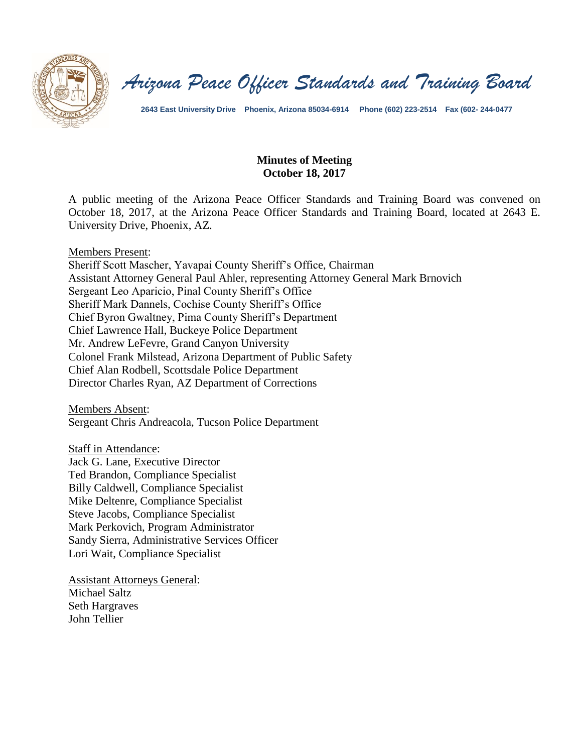

*Arizona Peace Officer Standards and Training Board*

**2643 East University Drive Phoenix, Arizona 85034-6914 Phone (602) 223-2514 Fax (602- 244-0477**

## **Minutes of Meeting October 18, 2017**

A public meeting of the Arizona Peace Officer Standards and Training Board was convened on October 18, 2017, at the Arizona Peace Officer Standards and Training Board, located at 2643 E. University Drive, Phoenix, AZ.

Members Present:

Sheriff Scott Mascher, Yavapai County Sheriff's Office, Chairman Assistant Attorney General Paul Ahler, representing Attorney General Mark Brnovich Sergeant Leo Aparicio, Pinal County Sheriff's Office Sheriff Mark Dannels, Cochise County Sheriff's Office Chief Byron Gwaltney, Pima County Sheriff's Department Chief Lawrence Hall, Buckeye Police Department Mr. Andrew LeFevre, Grand Canyon University Colonel Frank Milstead, Arizona Department of Public Safety Chief Alan Rodbell, Scottsdale Police Department Director Charles Ryan, AZ Department of Corrections

Members Absent: Sergeant Chris Andreacola, Tucson Police Department

Staff in Attendance:

Jack G. Lane, Executive Director Ted Brandon, Compliance Specialist Billy Caldwell, Compliance Specialist Mike Deltenre, Compliance Specialist Steve Jacobs, Compliance Specialist Mark Perkovich, Program Administrator Sandy Sierra, Administrative Services Officer Lori Wait, Compliance Specialist

Assistant Attorneys General: Michael Saltz Seth Hargraves John Tellier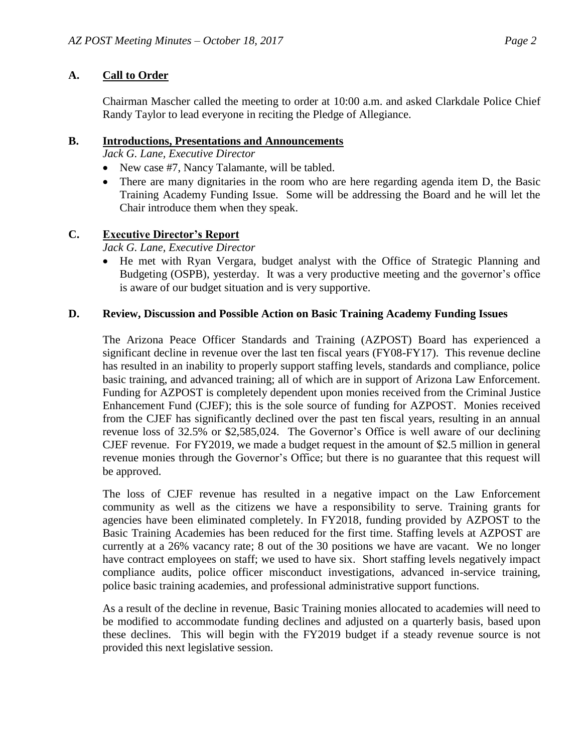## **A. Call to Order**

Chairman Mascher called the meeting to order at 10:00 a.m. and asked Clarkdale Police Chief Randy Taylor to lead everyone in reciting the Pledge of Allegiance.

#### **B. Introductions, Presentations and Announcements**

*Jack G. Lane, Executive Director*

- New case #7, Nancy Talamante, will be tabled.
- There are many dignitaries in the room who are here regarding agenda item D, the Basic Training Academy Funding Issue. Some will be addressing the Board and he will let the Chair introduce them when they speak.

## **C. Executive Director's Report**

## *Jack G. Lane, Executive Director*

 He met with Ryan Vergara, budget analyst with the Office of Strategic Planning and Budgeting (OSPB), yesterday. It was a very productive meeting and the governor's office is aware of our budget situation and is very supportive.

#### **D. Review, Discussion and Possible Action on Basic Training Academy Funding Issues**

The Arizona Peace Officer Standards and Training (AZPOST) Board has experienced a significant decline in revenue over the last ten fiscal years (FY08-FY17). This revenue decline has resulted in an inability to properly support staffing levels, standards and compliance, police basic training, and advanced training; all of which are in support of Arizona Law Enforcement. Funding for AZPOST is completely dependent upon monies received from the Criminal Justice Enhancement Fund (CJEF); this is the sole source of funding for AZPOST. Monies received from the CJEF has significantly declined over the past ten fiscal years, resulting in an annual revenue loss of 32.5% or \$2,585,024. The Governor's Office is well aware of our declining CJEF revenue. For FY2019, we made a budget request in the amount of \$2.5 million in general revenue monies through the Governor's Office; but there is no guarantee that this request will be approved.

The loss of CJEF revenue has resulted in a negative impact on the Law Enforcement community as well as the citizens we have a responsibility to serve. Training grants for agencies have been eliminated completely. In FY2018, funding provided by AZPOST to the Basic Training Academies has been reduced for the first time. Staffing levels at AZPOST are currently at a 26% vacancy rate; 8 out of the 30 positions we have are vacant. We no longer have contract employees on staff; we used to have six. Short staffing levels negatively impact compliance audits, police officer misconduct investigations, advanced in-service training, police basic training academies, and professional administrative support functions.

As a result of the decline in revenue, Basic Training monies allocated to academies will need to be modified to accommodate funding declines and adjusted on a quarterly basis, based upon these declines. This will begin with the FY2019 budget if a steady revenue source is not provided this next legislative session.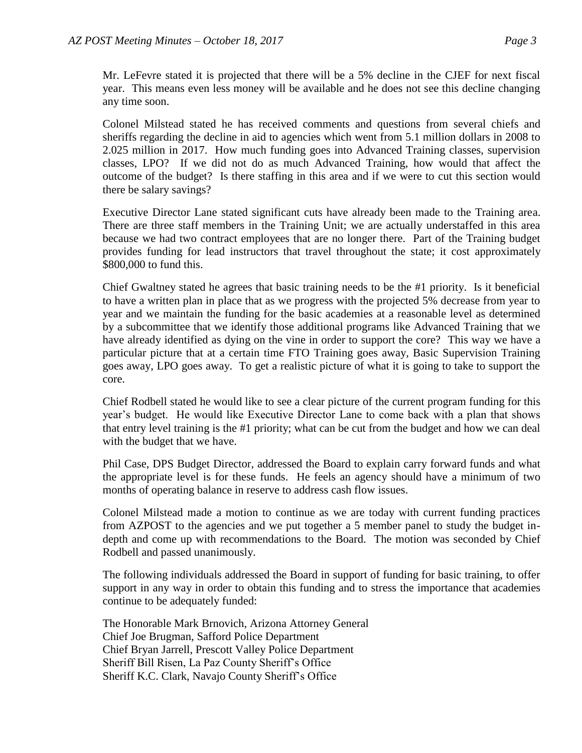Mr. LeFevre stated it is projected that there will be a 5% decline in the CJEF for next fiscal year. This means even less money will be available and he does not see this decline changing any time soon.

Colonel Milstead stated he has received comments and questions from several chiefs and sheriffs regarding the decline in aid to agencies which went from 5.1 million dollars in 2008 to 2.025 million in 2017. How much funding goes into Advanced Training classes, supervision classes, LPO? If we did not do as much Advanced Training, how would that affect the outcome of the budget? Is there staffing in this area and if we were to cut this section would there be salary savings?

Executive Director Lane stated significant cuts have already been made to the Training area. There are three staff members in the Training Unit; we are actually understaffed in this area because we had two contract employees that are no longer there. Part of the Training budget provides funding for lead instructors that travel throughout the state; it cost approximately \$800,000 to fund this.

Chief Gwaltney stated he agrees that basic training needs to be the #1 priority. Is it beneficial to have a written plan in place that as we progress with the projected 5% decrease from year to year and we maintain the funding for the basic academies at a reasonable level as determined by a subcommittee that we identify those additional programs like Advanced Training that we have already identified as dying on the vine in order to support the core? This way we have a particular picture that at a certain time FTO Training goes away, Basic Supervision Training goes away, LPO goes away. To get a realistic picture of what it is going to take to support the core.

Chief Rodbell stated he would like to see a clear picture of the current program funding for this year's budget. He would like Executive Director Lane to come back with a plan that shows that entry level training is the #1 priority; what can be cut from the budget and how we can deal with the budget that we have.

Phil Case, DPS Budget Director, addressed the Board to explain carry forward funds and what the appropriate level is for these funds. He feels an agency should have a minimum of two months of operating balance in reserve to address cash flow issues.

Colonel Milstead made a motion to continue as we are today with current funding practices from AZPOST to the agencies and we put together a 5 member panel to study the budget indepth and come up with recommendations to the Board. The motion was seconded by Chief Rodbell and passed unanimously.

The following individuals addressed the Board in support of funding for basic training, to offer support in any way in order to obtain this funding and to stress the importance that academies continue to be adequately funded:

The Honorable Mark Brnovich, Arizona Attorney General Chief Joe Brugman, Safford Police Department Chief Bryan Jarrell, Prescott Valley Police Department Sheriff Bill Risen, La Paz County Sheriff's Office Sheriff K.C. Clark, Navajo County Sheriff's Office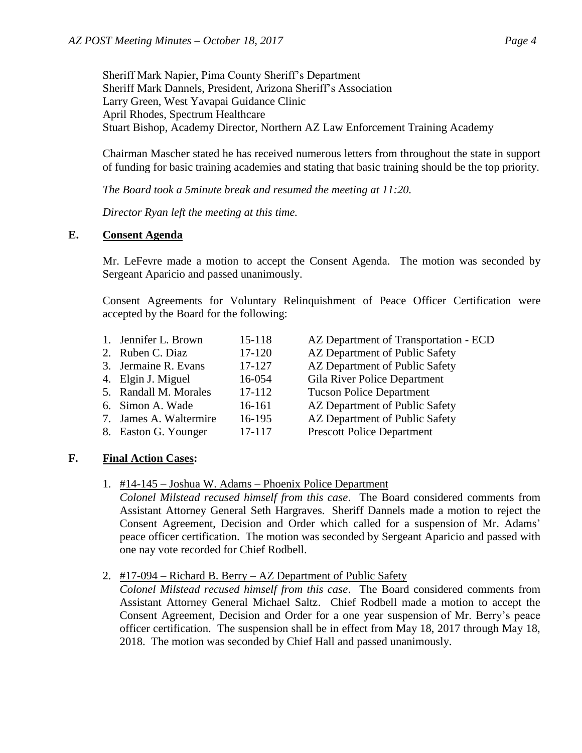Sheriff Mark Napier, Pima County Sheriff's Department Sheriff Mark Dannels, President, Arizona Sheriff's Association Larry Green, West Yavapai Guidance Clinic April Rhodes, Spectrum Healthcare Stuart Bishop, Academy Director, Northern AZ Law Enforcement Training Academy

Chairman Mascher stated he has received numerous letters from throughout the state in support of funding for basic training academies and stating that basic training should be the top priority.

*The Board took a 5minute break and resumed the meeting at 11:20.*

*Director Ryan left the meeting at this time.*

# **E. Consent Agenda**

Mr. LeFevre made a motion to accept the Consent Agenda. The motion was seconded by Sergeant Aparicio and passed unanimously.

Consent Agreements for Voluntary Relinquishment of Peace Officer Certification were accepted by the Board for the following:

| 1. Jennifer L. Brown   | 15-118 |
|------------------------|--------|
| 2. Ruben C. Diaz       | 17-120 |
| 3. Jermaine R. Evans   | 17-127 |
| 4. Elgin J. Miguel     | 16-054 |
| 5. Randall M. Morales  | 17-112 |
| 6. Simon A. Wade       | 16-161 |
| 7. James A. Waltermire | 16-195 |
| 8. Easton G. Younger   | 17-117 |

- AZ Department of Transportation ECD
- AZ Department of Public Safety
- AZ Department of Public Safety
- Gila River Police Department
- Tucson Police Department
- AZ Department of Public Safety
- AZ Department of Public Safety
- 
- Prescott Police Department

# **F. Final Action Cases:**

1. #14-145 – Joshua W. Adams – Phoenix Police Department

*Colonel Milstead recused himself from this case*. The Board considered comments from Assistant Attorney General Seth Hargraves. Sheriff Dannels made a motion to reject the Consent Agreement, Decision and Order which called for a suspension of Mr. Adams' peace officer certification. The motion was seconded by Sergeant Aparicio and passed with one nay vote recorded for Chief Rodbell.

2. #17-094 – Richard B. Berry – AZ Department of Public Safety

*Colonel Milstead recused himself from this case*. The Board considered comments from Assistant Attorney General Michael Saltz. Chief Rodbell made a motion to accept the Consent Agreement, Decision and Order for a one year suspension of Mr. Berry's peace officer certification. The suspension shall be in effect from May 18, 2017 through May 18, 2018. The motion was seconded by Chief Hall and passed unanimously.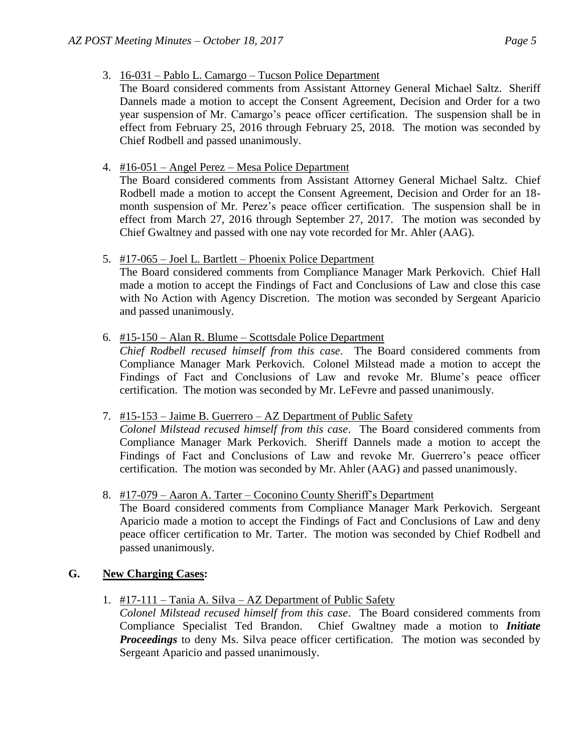- 3. 16-031 Pablo L. Camargo Tucson Police Department
	- The Board considered comments from Assistant Attorney General Michael Saltz. Sheriff Dannels made a motion to accept the Consent Agreement, Decision and Order for a two year suspension of Mr. Camargo's peace officer certification. The suspension shall be in effect from February 25, 2016 through February 25, 2018. The motion was seconded by Chief Rodbell and passed unanimously.
- 4. #16-051 Angel Perez Mesa Police Department

The Board considered comments from Assistant Attorney General Michael Saltz. Chief Rodbell made a motion to accept the Consent Agreement, Decision and Order for an 18 month suspension of Mr. Perez's peace officer certification. The suspension shall be in effect from March 27, 2016 through September 27, 2017. The motion was seconded by Chief Gwaltney and passed with one nay vote recorded for Mr. Ahler (AAG).

5. #17-065 – Joel L. Bartlett – Phoenix Police Department

The Board considered comments from Compliance Manager Mark Perkovich. Chief Hall made a motion to accept the Findings of Fact and Conclusions of Law and close this case with No Action with Agency Discretion. The motion was seconded by Sergeant Aparicio and passed unanimously.

6. #15-150 – Alan R. Blume – Scottsdale Police Department

*Chief Rodbell recused himself from this case*. The Board considered comments from Compliance Manager Mark Perkovich. Colonel Milstead made a motion to accept the Findings of Fact and Conclusions of Law and revoke Mr. Blume's peace officer certification. The motion was seconded by Mr. LeFevre and passed unanimously.

7. #15-153 – Jaime B. Guerrero – AZ Department of Public Safety

*Colonel Milstead recused himself from this case*. The Board considered comments from Compliance Manager Mark Perkovich. Sheriff Dannels made a motion to accept the Findings of Fact and Conclusions of Law and revoke Mr. Guerrero's peace officer certification. The motion was seconded by Mr. Ahler (AAG) and passed unanimously.

8. #17-079 – Aaron A. Tarter – Coconino County Sheriff's Department

The Board considered comments from Compliance Manager Mark Perkovich. Sergeant Aparicio made a motion to accept the Findings of Fact and Conclusions of Law and deny peace officer certification to Mr. Tarter. The motion was seconded by Chief Rodbell and passed unanimously.

# **G. New Charging Cases:**

1. #17-111 – Tania A. Silva – AZ Department of Public Safety

*Colonel Milstead recused himself from this case*. The Board considered comments from Compliance Specialist Ted Brandon. Chief Gwaltney made a motion to *Initiate Proceedings* to deny Ms. Silva peace officer certification. The motion was seconded by Sergeant Aparicio and passed unanimously.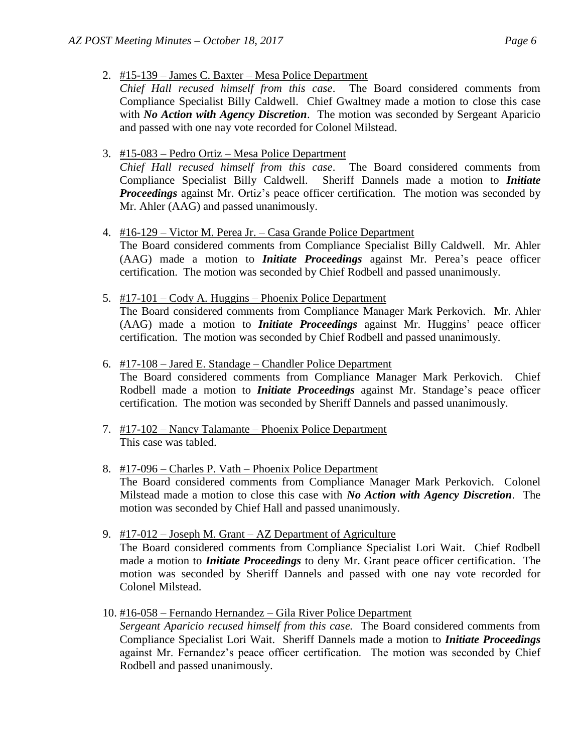- 2. #15-139 James C. Baxter Mesa Police Department
- *Chief Hall recused himself from this case*. The Board considered comments from Compliance Specialist Billy Caldwell. Chief Gwaltney made a motion to close this case with *No Action with Agency Discretion*. The motion was seconded by Sergeant Aparicio and passed with one nay vote recorded for Colonel Milstead.
- 3. #15-083 Pedro Ortiz Mesa Police Department

*Chief Hall recused himself from this case*. The Board considered comments from Compliance Specialist Billy Caldwell. Sheriff Dannels made a motion to *Initiate Proceedings* against Mr. Ortiz's peace officer certification. The motion was seconded by Mr. Ahler (AAG) and passed unanimously.

- 4. #16-129 Victor M. Perea Jr. Casa Grande Police Department The Board considered comments from Compliance Specialist Billy Caldwell. Mr. Ahler (AAG) made a motion to *Initiate Proceedings* against Mr. Perea's peace officer certification. The motion was seconded by Chief Rodbell and passed unanimously.
- 5. #17-101 Cody A. Huggins Phoenix Police Department The Board considered comments from Compliance Manager Mark Perkovich. Mr. Ahler (AAG) made a motion to *Initiate Proceedings* against Mr. Huggins' peace officer certification. The motion was seconded by Chief Rodbell and passed unanimously.
- 6. #17-108 Jared E. Standage Chandler Police Department The Board considered comments from Compliance Manager Mark Perkovich. Chief Rodbell made a motion to *Initiate Proceedings* against Mr. Standage's peace officer certification. The motion was seconded by Sheriff Dannels and passed unanimously.
- 7. #17-102 Nancy Talamante Phoenix Police Department This case was tabled.
- 8. #17-096 Charles P. Vath Phoenix Police Department The Board considered comments from Compliance Manager Mark Perkovich. Colonel Milstead made a motion to close this case with *No Action with Agency Discretion*. The motion was seconded by Chief Hall and passed unanimously.
- 9. #17-012 Joseph M. Grant AZ Department of Agriculture The Board considered comments from Compliance Specialist Lori Wait. Chief Rodbell made a motion to *Initiate Proceedings* to deny Mr. Grant peace officer certification. The motion was seconded by Sheriff Dannels and passed with one nay vote recorded for Colonel Milstead.
- 10. #16-058 Fernando Hernandez Gila River Police Department

*Sergeant Aparicio recused himself from this case.* The Board considered comments from Compliance Specialist Lori Wait. Sheriff Dannels made a motion to *Initiate Proceedings* against Mr. Fernandez's peace officer certification. The motion was seconded by Chief Rodbell and passed unanimously.